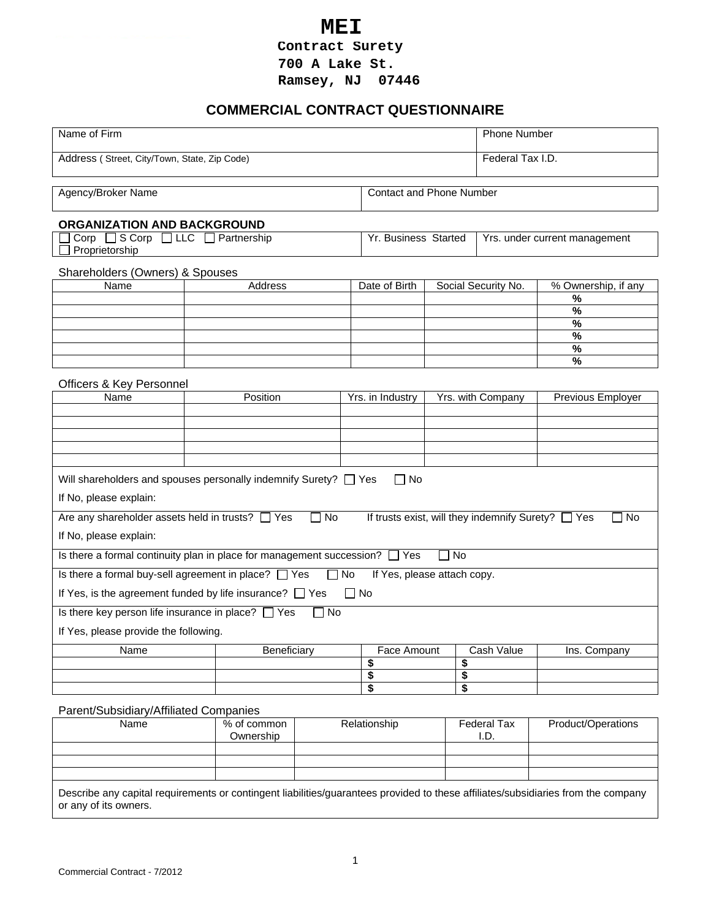**MEI**<br>Contract Surety

**700 A Lake St.** 

**Ramsey, NJ 07446** 

# **COMMERCIAL CONTRACT QUESTIONNAIRE**

| Name of Firm                                                                                               |                                                                                  |                                |                             | <b>Phone Number</b> |                                                         |                          |
|------------------------------------------------------------------------------------------------------------|----------------------------------------------------------------------------------|--------------------------------|-----------------------------|---------------------|---------------------------------------------------------|--------------------------|
| Address (Street, City/Town, State, Zip Code)                                                               |                                                                                  |                                |                             | Federal Tax I.D.    |                                                         |                          |
| <b>Contact and Phone Number</b><br>Agency/Broker Name                                                      |                                                                                  |                                |                             |                     |                                                         |                          |
|                                                                                                            |                                                                                  |                                |                             |                     |                                                         |                          |
| ORGANIZATION AND BACKGROUND<br>Corp □ S Corp □ LLC □ Partnership<br>Yr. Business Started<br>Proprietorship |                                                                                  |                                |                             |                     | Yrs. under current management                           |                          |
| Shareholders (Owners) & Spouses                                                                            |                                                                                  |                                |                             |                     |                                                         |                          |
| Name                                                                                                       | Address                                                                          |                                | Date of Birth               |                     | Social Security No.                                     | % Ownership, if any      |
|                                                                                                            |                                                                                  |                                |                             |                     |                                                         | $\%$                     |
|                                                                                                            |                                                                                  |                                |                             |                     |                                                         | $\%$                     |
|                                                                                                            |                                                                                  |                                |                             |                     |                                                         | $\overline{\frac{9}{6}}$ |
|                                                                                                            |                                                                                  |                                |                             |                     |                                                         | $\%$                     |
|                                                                                                            |                                                                                  |                                |                             |                     |                                                         | $\%$                     |
|                                                                                                            |                                                                                  |                                |                             |                     |                                                         | $\%$                     |
| Officers & Key Personnel                                                                                   |                                                                                  |                                |                             |                     |                                                         |                          |
| Name                                                                                                       | Position                                                                         |                                | Yrs. in Industry            |                     | Yrs. with Company                                       | Previous Employer        |
|                                                                                                            |                                                                                  |                                |                             |                     |                                                         |                          |
|                                                                                                            |                                                                                  |                                |                             |                     |                                                         |                          |
|                                                                                                            |                                                                                  |                                |                             |                     |                                                         |                          |
|                                                                                                            |                                                                                  |                                |                             |                     |                                                         |                          |
|                                                                                                            |                                                                                  |                                |                             |                     |                                                         |                          |
|                                                                                                            | Will shareholders and spouses personally indemnify Surety? $\Box$ Yes            |                                | $\Box$ No                   |                     |                                                         |                          |
| If No, please explain:                                                                                     |                                                                                  |                                |                             |                     |                                                         |                          |
| Are any shareholder assets held in trusts? [ Yes                                                           |                                                                                  | $\Box$ No                      |                             |                     | If trusts exist, will they indemnify Surety? $\Box$ Yes | l No                     |
| If No, please explain:                                                                                     |                                                                                  |                                |                             |                     |                                                         |                          |
|                                                                                                            | Is there a formal continuity plan in place for management succession? $\Box$ Yes |                                |                             | ∏ No                |                                                         |                          |
|                                                                                                            | Is there a formal buy-sell agreement in place? $\Box$ Yes                        | No<br>$\overline{\phantom{a}}$ | If Yes, please attach copy. |                     |                                                         |                          |
|                                                                                                            |                                                                                  |                                |                             |                     |                                                         |                          |
|                                                                                                            | If Yes, is the agreement funded by life insurance? $\Box$ Yes                    |                                | $\Box$ No                   |                     |                                                         |                          |
| Is there key person life insurance in place? $\Box$ Yes                                                    |                                                                                  | No                             |                             |                     |                                                         |                          |
| If Yes, please provide the following.                                                                      |                                                                                  |                                |                             |                     |                                                         |                          |
| Name                                                                                                       | Beneficiary                                                                      |                                | Face Amount                 |                     | Cash Value                                              | Ins. Company             |
|                                                                                                            |                                                                                  |                                | \$                          | \$                  |                                                         |                          |
|                                                                                                            |                                                                                  |                                | \$                          | \$                  |                                                         |                          |
|                                                                                                            |                                                                                  |                                | \$                          | \$                  |                                                         |                          |
| Parent/Subsidiary/Affiliated Companies                                                                     |                                                                                  |                                |                             |                     |                                                         |                          |
| Name                                                                                                       | % of common                                                                      |                                | Relationship                |                     | <b>Federal Tax</b>                                      | Product/Operations       |
|                                                                                                            | Ownership                                                                        |                                |                             |                     | I.D.                                                    |                          |
|                                                                                                            |                                                                                  |                                |                             |                     |                                                         |                          |
|                                                                                                            |                                                                                  |                                |                             |                     |                                                         |                          |
|                                                                                                            |                                                                                  |                                |                             |                     |                                                         |                          |
|                                                                                                            |                                                                                  |                                |                             |                     |                                                         |                          |

Describe any capital requirements or contingent liabilities/guarantees provided to these affiliates/subsidiaries from the company or any of its owners.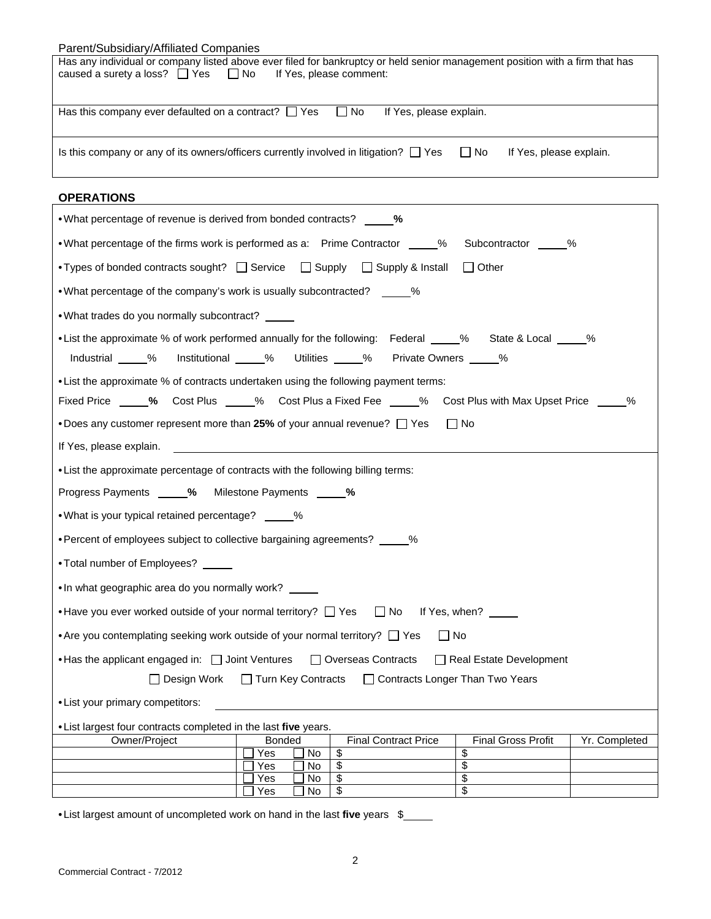| Parent/Subsidiary/Affiliated Companies                                                                                                                                                                  |  |  |  |  |
|---------------------------------------------------------------------------------------------------------------------------------------------------------------------------------------------------------|--|--|--|--|
| Has any individual or company listed above ever filed for bankruptcy or held senior management position with a firm that has<br>caused a surety a loss? $\Box$ Yes $\Box$ No<br>If Yes, please comment: |  |  |  |  |
|                                                                                                                                                                                                         |  |  |  |  |
| Has this company ever defaulted on a contract? $\Box$ Yes $\Box$ No<br>If Yes, please explain.                                                                                                          |  |  |  |  |
| Is this company or any of its owners/officers currently involved in litigation? $\Box$ Yes<br>$\Box$ No<br>If Yes, please explain.                                                                      |  |  |  |  |
| <b>ODED ATIONS</b>                                                                                                                                                                                      |  |  |  |  |

| UPERAIIUNJ                                                                                                                                                                           |  |
|--------------------------------------------------------------------------------------------------------------------------------------------------------------------------------------|--|
| • What percentage of revenue is derived from bonded contracts? _____ %                                                                                                               |  |
| •What percentage of the firms work is performed as a: Prime Contractor ____% Subcontractor ____%                                                                                     |  |
| •Types of bonded contracts sought? □ Service □ Supply □ Supply & Install<br><b>□ Other</b>                                                                                           |  |
| •What percentage of the company's work is usually subcontracted? %                                                                                                                   |  |
| . What trades do you normally subcontract?                                                                                                                                           |  |
| • List the approximate % of work performed annually for the following: Federal % State & Local %<br>Institutional _____% Utilities _____% Private Owners _____%<br>Industrial _____% |  |
| • List the approximate % of contracts undertaken using the following payment terms:                                                                                                  |  |
| Fixed Price _____% Cost Plus _____% Cost Plus a Fixed Fee _____% Cost Plus with Max Upset Price ____<br>%                                                                            |  |
| •Does any customer represent more than 25% of your annual revenue? $\Box$ Yes<br>  No                                                                                                |  |
| If Yes, please explain.                                                                                                                                                              |  |
| • List the approximate percentage of contracts with the following billing terms:                                                                                                     |  |
| Progress Payments _____% Milestone Payments _____%                                                                                                                                   |  |
| • What is your typical retained percentage? _____%                                                                                                                                   |  |
| •Percent of employees subject to collective bargaining agreements? _____%                                                                                                            |  |
| •Total number of Employees?<br><u>•</u>                                                                                                                                              |  |
| . In what geographic area do you normally work?                                                                                                                                      |  |
| • Have you ever worked outside of your normal territory? $\Box$ Yes $\Box$ No If Yes, when? $\Box$                                                                                   |  |
| • Are you contemplating seeking work outside of your normal territory? $\Box$ Yes<br>$\Box$ No                                                                                       |  |
| • Has the applicant engaged in: $\Box$ Joint Ventures $\Box$ Overseas Contracts<br>Real Estate Development                                                                           |  |
| Design Work Tarn Key Contracts Theortracts Longer Than Two Years                                                                                                                     |  |
| • List your primary competitors:                                                                                                                                                     |  |
| • List largest four contracts completed in the last five years.                                                                                                                      |  |
| <b>Final Gross Profit</b><br>Owner/Project<br><b>Final Contract Price</b><br>Yr. Completed<br><b>Bonded</b>                                                                          |  |
| \$<br>\$<br>Yes<br>No.                                                                                                                                                               |  |
| $\overline{\$}$<br>$\overline{\mathbf{s}}$<br>No<br>Yes                                                                                                                              |  |
| \$<br>\$<br>Yes<br>No.                                                                                                                                                               |  |
| \$<br>\$<br>No<br>Yes                                                                                                                                                                |  |

•List largest amount of uncompleted work on hand in the last **five** years \$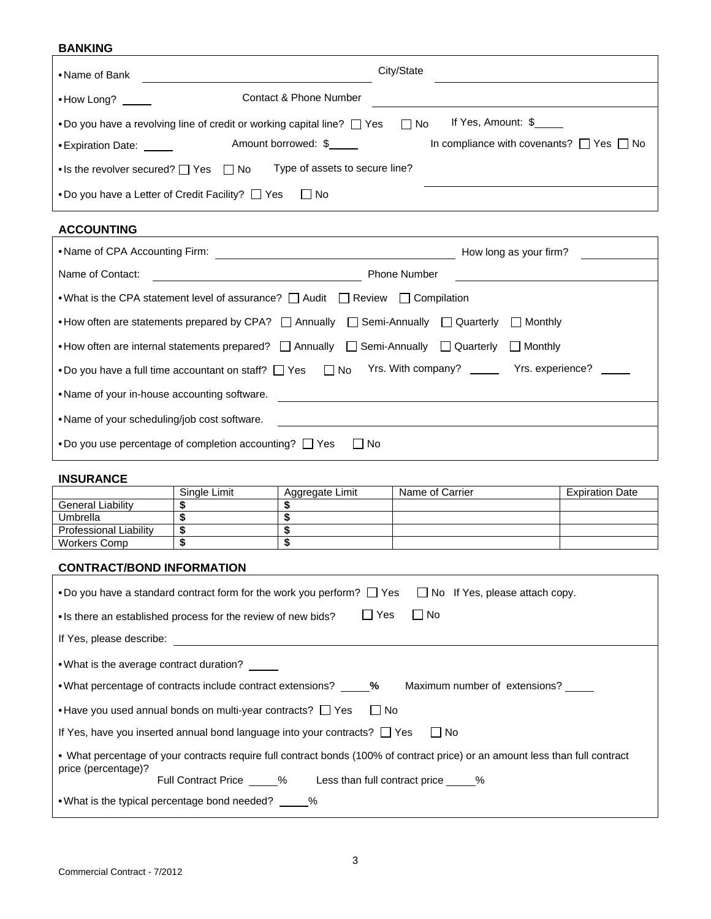## **BANKING**

| •Name of Bank                  |                                                                                   | City/State |                                                    |
|--------------------------------|-----------------------------------------------------------------------------------|------------|----------------------------------------------------|
| $\bullet$ How Long?            | Contact & Phone Number                                                            |            |                                                    |
|                                | •Do you have a revolving line of credit or working capital line? $\Box$ Yes       | $\Box$ No  | If Yes, Amount: \$                                 |
| • Expiration Date: <u>come</u> | Amount borrowed: \$                                                               |            | In compliance with covenants? $\Box$ Yes $\Box$ No |
|                                | Type of assets to secure line?<br>• Is the revolver secured? $\Box$ Yes $\Box$ No |            |                                                    |
|                                | •Do you have a Letter of Credit Facility? $\Box$ Yes<br>∏ No                      |            |                                                    |

# **ACCOUNTING**

|                                                                                                                   | How long as your firm? |  |  |  |
|-------------------------------------------------------------------------------------------------------------------|------------------------|--|--|--|
| Name of Contact:                                                                                                  | <b>Phone Number</b>    |  |  |  |
| •What is the CPA statement level of assurance?   Audit   Review   Compilation                                     |                        |  |  |  |
| •How often are statements prepared by CPA? $\Box$ Annually $\Box$ Semi-Annually $\Box$ Quarterly $\Box$ Monthly   |                        |  |  |  |
| •How often are internal statements prepared? $\Box$ Annually $\Box$ Semi-Annually $\Box$ Quarterly $\Box$ Monthly |                        |  |  |  |
| Yrs. With company? Yrs. experience?<br>•Do you have a full time accountant on staff? $\Box$ Yes $\Box$ No         |                        |  |  |  |
| •Name of your in-house accounting software.                                                                       |                        |  |  |  |
| •Name of your scheduling/job cost software.                                                                       |                        |  |  |  |
| •Do you use percentage of completion accounting? $\Box$ Yes<br>l No<br>$\mathbf{I}$                               |                        |  |  |  |

### **INSURANCE**

|                               | Single Limit | Aggregate Limit | Name of Carrier | <b>Expiration Date</b> |
|-------------------------------|--------------|-----------------|-----------------|------------------------|
| <b>General Liability</b>      |              |                 |                 |                        |
| Umbrella                      |              |                 |                 |                        |
| <b>Professional Liability</b> |              |                 |                 |                        |
| Workers Comp                  |              |                 |                 |                        |

## **CONTRACT/BOND INFORMATION**

| •Do you have a standard contract form for the work you perform? $\Box$ Yes $\Box$ No If Yes, please attach copy.              |
|-------------------------------------------------------------------------------------------------------------------------------|
| $\Box$ Yes<br>$\Box$ No<br>• Is there an established process for the review of new bids?                                      |
| If Yes, please describe:                                                                                                      |
| •What is the average contract duration?                                                                                       |
| • What percentage of contracts include contract extensions? ______% Maximum number of extensions? _____                       |
| • Have you used annual bonds on multi-year contracts? $\Box$ Yes $\Box$ No                                                    |
| If Yes, have you inserted annual bond language into your contracts? $\Box$ Yes<br>l No                                        |
| • What percentage of your contracts require full contract bonds (100% of contract price) or an amount less than full contract |
| price (percentage)?<br>Full Contract Price _____% Less than full contract price _____%                                        |
| • What is the typical percentage bond needed? ______%                                                                         |